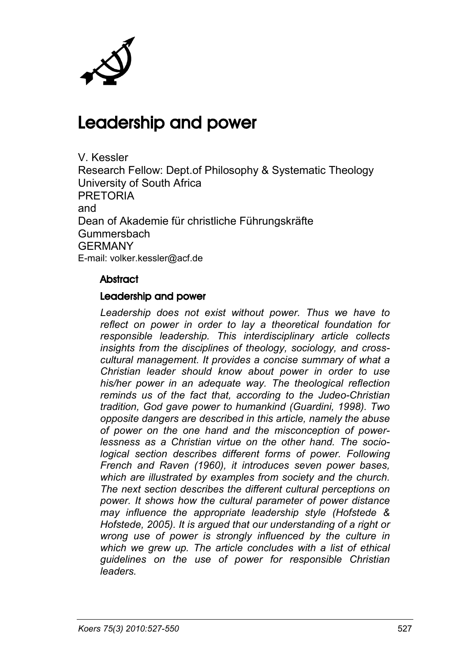

# Leadership and power

V. Kessler Research Fellow: Dept.of Philosophy & Systematic Theology University of South Africa PRETORIA and Dean of Akademie für christliche Führungskräfte Gummersbach GERMANY E-mail: volker.kessler@acf.de

#### **Abstract**

#### Leadership and power

*Leadership does not exist without power. Thus we have to reflect on power in order to lay a theoretical foundation for responsible leadership. This interdisciplinary article collects insights from the disciplines of theology, sociology, and crosscultural management. It provides a concise summary of what a Christian leader should know about power in order to use his/her power in an adequate way. The theological reflection reminds us of the fact that, according to the Judeo-Christian tradition, God gave power to humankind (Guardini, 1998). Two opposite dangers are described in this article, namely the abuse of power on the one hand and the misconception of powerlessness as a Christian virtue on the other hand. The sociological section describes different forms of power. Following French and Raven (1960), it introduces seven power bases, which are illustrated by examples from society and the church. The next section describes the different cultural perceptions on power. It shows how the cultural parameter of power distance may influence the appropriate leadership style (Hofstede & Hofstede, 2005). It is argued that our understanding of a right or wrong use of power is strongly influenced by the culture in which we grew up. The article concludes with a list of ethical guidelines on the use of power for responsible Christian leaders.*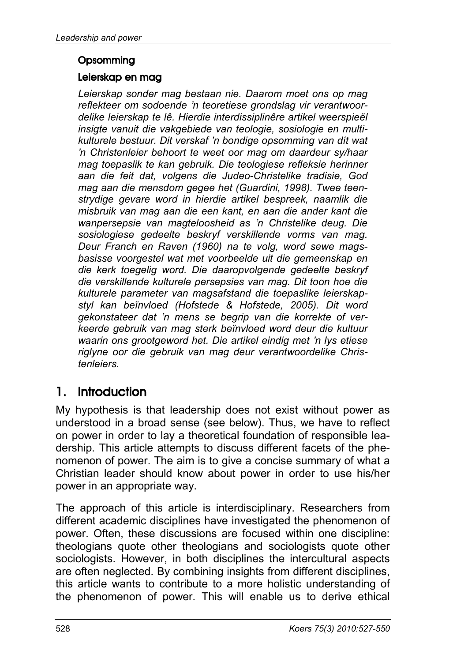#### **Opsomming**

#### Leierskap en mag

*Leierskap sonder mag bestaan nie. Daarom moet ons op mag reflekteer om sodoende 'n teoretiese grondslag vir verantwoordelike leierskap te lê. Hierdie interdissiplinêre artikel weerspieël insigte vanuit die vakgebiede van teologie, sosiologie en multikulturele bestuur. Dit verskaf 'n bondige opsomming van dít wat 'n Christenleier behoort te weet oor mag om daardeur sy/haar mag toepaslik te kan gebruik. Die teologiese refleksie herinner aan die feit dat, volgens die Judeo-Christelike tradisie, God mag aan die mensdom gegee het (Guardini, 1998). Twee teenstrydige gevare word in hierdie artikel bespreek, naamlik die misbruik van mag aan die een kant, en aan die ander kant die wanpersepsie van magteloosheid as 'n Christelike deug. Die sosiologiese gedeelte beskryf verskillende vorms van mag. Deur Franch en Raven (1960) na te volg, word sewe magsbasisse voorgestel wat met voorbeelde uit die gemeenskap en die kerk toegelig word. Die daaropvolgende gedeelte beskryf die verskillende kulturele persepsies van mag. Dit toon hoe die kulturele parameter van magsafstand die toepaslike leierskapstyl kan beïnvloed (Hofstede & Hofstede, 2005). Dit word gekonstateer dat 'n mens se begrip van die korrekte of verkeerde gebruik van mag sterk beïnvloed word deur die kultuur waarin ons grootgeword het. Die artikel eindig met 'n lys etiese riglyne oor die gebruik van mag deur verantwoordelike Christenleiers.*

# 1. Introduction

My hypothesis is that leadership does not exist without power as understood in a broad sense (see below). Thus, we have to reflect on power in order to lay a theoretical foundation of responsible leadership. This article attempts to discuss different facets of the phenomenon of power. The aim is to give a concise summary of what a Christian leader should know about power in order to use his/her power in an appropriate way.

The approach of this article is interdisciplinary. Researchers from different academic disciplines have investigated the phenomenon of power. Often, these discussions are focused within one discipline: theologians quote other theologians and sociologists quote other sociologists. However, in both disciplines the intercultural aspects are often neglected. By combining insights from different disciplines, this article wants to contribute to a more holistic understanding of the phenomenon of power. This will enable us to derive ethical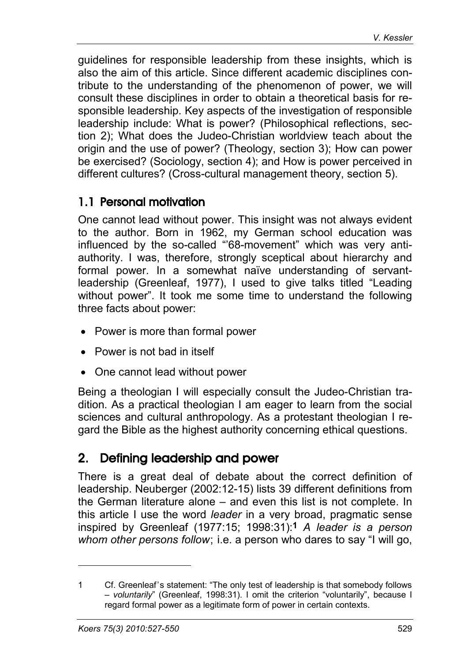guidelines for responsible leadership from these insights, which is also the aim of this article. Since different academic disciplines contribute to the understanding of the phenomenon of power, we will consult these disciplines in order to obtain a theoretical basis for responsible leadership. Key aspects of the investigation of responsible leadership include: What is power? (Philosophical reflections, section 2); What does the Judeo-Christian worldview teach about the origin and the use of power? (Theology, section 3); How can power be exercised? (Sociology, section 4); and How is power perceived in different cultures? (Cross-cultural management theory, section 5).

### 1.1 Personal motivation

One cannot lead without power. This insight was not always evident to the author. Born in 1962, my German school education was influenced by the so-called "'68-movement" which was very antiauthority. I was, therefore, strongly sceptical about hierarchy and formal power. In a somewhat naïve understanding of servantleadership (Greenleaf, 1977), I used to give talks titled "Leading without power". It took me some time to understand the following three facts about power:

- Power is more than formal power
- Power is not bad in itself
- One cannot lead without power

Being a theologian I will especially consult the Judeo-Christian tradition. As a practical theologian I am eager to learn from the social sciences and cultural anthropology. As a protestant theologian I regard the Bible as the highest authority concerning ethical questions.

# 2. Defining leadership and power

There is a great deal of debate about the correct definition of leadership. Neuberger (2002:12-15) lists 39 different definitions from the German literature alone – and even this list is not complete. In this article I use the word *leader* in a very broad, pragmatic sense inspired by Greenleaf (1977:15; 1998:31):**1** *A leader is a person whom other persons follow*; i.e. a person who dares to say "I will go,

<sup>1</sup> Cf. Greenleaf's statement: "The only test of leadership is that somebody follows – *voluntarily*" (Greenleaf, 1998:31). I omit the criterion "voluntarily", because I regard formal power as a legitimate form of power in certain contexts.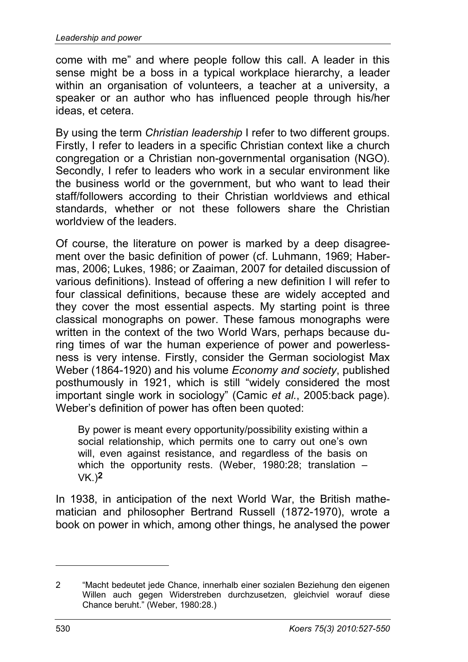come with me" and where people follow this call. A leader in this sense might be a boss in a typical workplace hierarchy, a leader within an organisation of volunteers, a teacher at a university, a speaker or an author who has influenced people through his/her ideas, et cetera.

By using the term *Christian leadership* I refer to two different groups. Firstly, I refer to leaders in a specific Christian context like a church congregation or a Christian non-governmental organisation (NGO). Secondly, I refer to leaders who work in a secular environment like the business world or the government, but who want to lead their staff/followers according to their Christian worldviews and ethical standards, whether or not these followers share the Christian worldview of the leaders.

Of course, the literature on power is marked by a deep disagreement over the basic definition of power (cf. Luhmann, 1969; Habermas, 2006; Lukes, 1986; or Zaaiman, 2007 for detailed discussion of various definitions). Instead of offering a new definition I will refer to four classical definitions, because these are widely accepted and they cover the most essential aspects. My starting point is three classical monographs on power. These famous monographs were written in the context of the two World Wars, perhaps because during times of war the human experience of power and powerlessness is very intense. Firstly, consider the German sociologist Max Weber (1864-1920) and his volume *Economy and society*, published posthumously in 1921, which is still "widely considered the most important single work in sociology" (Camic *et al.*, 2005:back page). Weber's definition of power has often been quoted:

By power is meant every opportunity/possibility existing within a social relationship, which permits one to carry out one's own will, even against resistance, and regardless of the basis on which the opportunity rests. (Weber, 1980:28; translation – VK.)**2**

In 1938, in anticipation of the next World War, the British mathematician and philosopher Bertrand Russell (1872-1970), wrote a book on power in which, among other things, he analysed the power

-

<sup>2</sup> "Macht bedeutet jede Chance, innerhalb einer sozialen Beziehung den eigenen Willen auch gegen Widerstreben durchzusetzen, gleichviel worauf diese Chance beruht." (Weber, 1980:28.)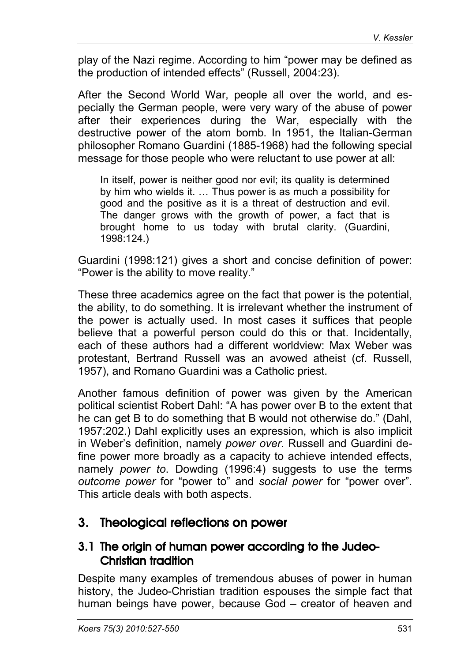play of the Nazi regime. According to him "power may be defined as the production of intended effects" (Russell, 2004:23).

After the Second World War, people all over the world, and especially the German people, were very wary of the abuse of power after their experiences during the War, especially with the destructive power of the atom bomb. In 1951, the Italian-German philosopher Romano Guardini (1885-1968) had the following special message for those people who were reluctant to use power at all:

In itself, power is neither good nor evil; its quality is determined by him who wields it. … Thus power is as much a possibility for good and the positive as it is a threat of destruction and evil. The danger grows with the growth of power, a fact that is brought home to us today with brutal clarity. (Guardini, 1998:124.)

Guardini (1998:121) gives a short and concise definition of power: "Power is the ability to move reality."

These three academics agree on the fact that power is the potential, the ability, to do something. It is irrelevant whether the instrument of the power is actually used. In most cases it suffices that people believe that a powerful person could do this or that. Incidentally, each of these authors had a different worldview: Max Weber was protestant, Bertrand Russell was an avowed atheist (cf. Russell, 1957), and Romano Guardini was a Catholic priest.

Another famous definition of power was given by the American political scientist Robert Dahl: "A has power over B to the extent that he can get B to do something that B would not otherwise do." (Dahl, 1957:202.) Dahl explicitly uses an expression, which is also implicit in Weber's definition, namely *power over*. Russell and Guardini define power more broadly as a capacity to achieve intended effects, namely *power to*. Dowding (1996:4) suggests to use the terms *outcome power* for "power to" and *social power* for "power over". This article deals with both aspects.

### 3. Theological reflections on power

### 3.1 The origin of human power according to the Judeo-Christian tradition

Despite many examples of tremendous abuses of power in human history, the Judeo-Christian tradition espouses the simple fact that human beings have power, because God – creator of heaven and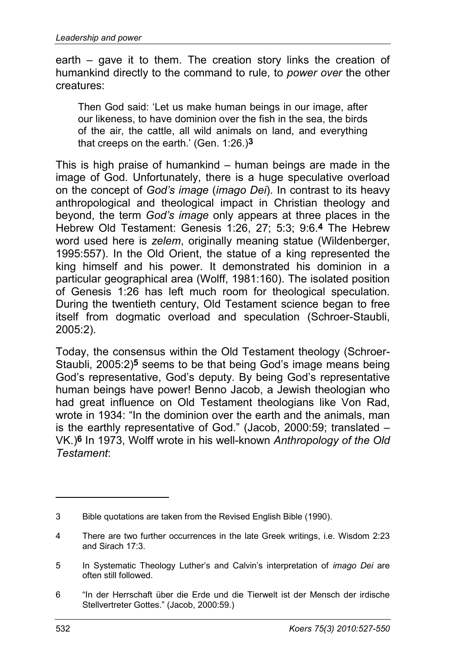earth – gave it to them. The creation story links the creation of humankind directly to the command to rule, to *power over* the other creatures:

Then God said: 'Let us make human beings in our image, after our likeness, to have dominion over the fish in the sea, the birds of the air, the cattle, all wild animals on land, and everything that creeps on the earth.' (Gen. 1:26.)**3**

This is high praise of humankind – human beings are made in the image of God. Unfortunately, there is a huge speculative overload on the concept of *God's image* (*imago Dei*). In contrast to its heavy anthropological and theological impact in Christian theology and beyond, the term *God's image* only appears at three places in the Hebrew Old Testament: Genesis 1:26, 27; 5:3; 9:6.**4** The Hebrew word used here is *zelem*, originally meaning statue (Wildenberger, 1995:557). In the Old Orient, the statue of a king represented the king himself and his power. It demonstrated his dominion in a particular geographical area (Wolff, 1981:160). The isolated position of Genesis 1:26 has left much room for theological speculation. During the twentieth century, Old Testament science began to free itself from dogmatic overload and speculation (Schroer-Staubli, 2005:2).

Today, the consensus within the Old Testament theology (Schroer-Staubli, 2005:2)**5** seems to be that being God's image means being God's representative, God's deputy. By being God's representative human beings have power! Benno Jacob, a Jewish theologian who had great influence on Old Testament theologians like Von Rad, wrote in 1934: "In the dominion over the earth and the animals, man is the earthly representative of God." (Jacob, 2000:59; translated – VK.)**6** In 1973, Wolff wrote in his well-known *Anthropology of the Old Testament*:

-

<sup>3</sup> Bible quotations are taken from the Revised English Bible (1990).

<sup>4</sup> There are two further occurrences in the late Greek writings, i.e. Wisdom 2:23 and Sirach 17:3.

<sup>5</sup> In Systematic Theology Luther's and Calvin's interpretation of *imago Dei* are often still followed.

<sup>6</sup> "In der Herrschaft über die Erde und die Tierwelt ist der Mensch der irdische Stellvertreter Gottes." (Jacob, 2000:59.)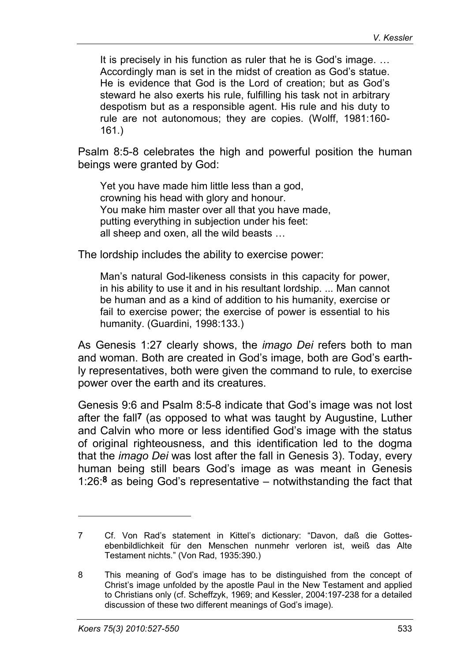It is precisely in his function as ruler that he is God's image. … Accordingly man is set in the midst of creation as God's statue. He is evidence that God is the Lord of creation; but as God's steward he also exerts his rule, fulfilling his task not in arbitrary despotism but as a responsible agent. His rule and his duty to rule are not autonomous; they are copies. (Wolff, 1981:160- 161.)

Psalm 8:5-8 celebrates the high and powerful position the human beings were granted by God:

Yet you have made him little less than a god, crowning his head with glory and honour. You make him master over all that you have made, putting everything in subjection under his feet: all sheep and oxen, all the wild beasts …

The lordship includes the ability to exercise power:

Man's natural God-likeness consists in this capacity for power, in his ability to use it and in his resultant lordship. ... Man cannot be human and as a kind of addition to his humanity, exercise or fail to exercise power; the exercise of power is essential to his humanity. (Guardini, 1998:133.)

As Genesis 1:27 clearly shows, the *imago Dei* refers both to man and woman. Both are created in God's image, both are God's earthly representatives, both were given the command to rule, to exercise power over the earth and its creatures.

Genesis 9:6 and Psalm 8:5-8 indicate that God's image was not lost after the fall**7** (as opposed to what was taught by Augustine, Luther and Calvin who more or less identified God's image with the status of original righteousness, and this identification led to the dogma that the *imago Dei* was lost after the fall in Genesis 3). Today, every human being still bears God's image as was meant in Genesis 1:26:**8** as being God's representative – notwithstanding the fact that

<sup>7</sup> Cf. Von Rad's statement in Kittel's dictionary: "Davon, daß die Gottesebenbildlichkeit für den Menschen nunmehr verloren ist, weiß das Alte Testament nichts." (Von Rad, 1935:390.)

<sup>8</sup> This meaning of God's image has to be distinguished from the concept of Christ's image unfolded by the apostle Paul in the New Testament and applied to Christians only (cf. Scheffzyk, 1969; and Kessler, 2004:197-238 for a detailed discussion of these two different meanings of God's image).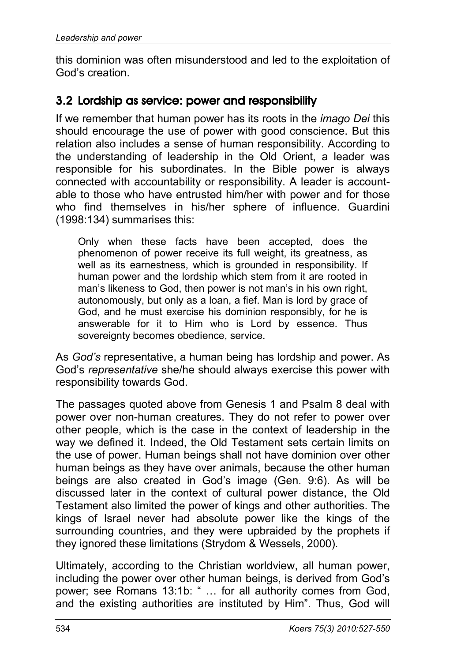this dominion was often misunderstood and led to the exploitation of God's creation.

### 3.2 Lordship as service: power and responsibility

If we remember that human power has its roots in the *imago Dei* this should encourage the use of power with good conscience. But this relation also includes a sense of human responsibility. According to the understanding of leadership in the Old Orient, a leader was responsible for his subordinates. In the Bible power is always connected with accountability or responsibility. A leader is accountable to those who have entrusted him/her with power and for those who find themselves in his/her sphere of influence. Guardini (1998:134) summarises this:

Only when these facts have been accepted, does the phenomenon of power receive its full weight, its greatness, as well as its earnestness, which is grounded in responsibility. If human power and the lordship which stem from it are rooted in man's likeness to God, then power is not man's in his own right, autonomously, but only as a loan, a fief. Man is lord by grace of God, and he must exercise his dominion responsibly, for he is answerable for it to Him who is Lord by essence. Thus sovereignty becomes obedience, service.

As *God's* representative, a human being has lordship and power. As God's *representative* she/he should always exercise this power with responsibility towards God.

The passages quoted above from Genesis 1 and Psalm 8 deal with power over non-human creatures. They do not refer to power over other people, which is the case in the context of leadership in the way we defined it. Indeed, the Old Testament sets certain limits on the use of power. Human beings shall not have dominion over other human beings as they have over animals, because the other human beings are also created in God's image (Gen. 9:6). As will be discussed later in the context of cultural power distance, the Old Testament also limited the power of kings and other authorities. The kings of Israel never had absolute power like the kings of the surrounding countries, and they were upbraided by the prophets if they ignored these limitations (Strydom & Wessels, 2000).

Ultimately, according to the Christian worldview, all human power, including the power over other human beings, is derived from God's power; see Romans 13:1b: " … for all authority comes from God, and the existing authorities are instituted by Him". Thus, God will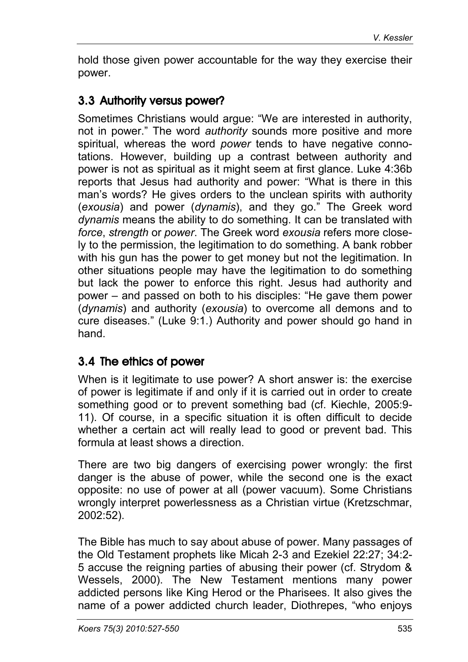hold those given power accountable for the way they exercise their power.

## 3.3 Authority versus power?

Sometimes Christians would argue: "We are interested in authority, not in power." The word *authority* sounds more positive and more spiritual, whereas the word *power* tends to have negative connotations. However, building up a contrast between authority and power is not as spiritual as it might seem at first glance. Luke 4:36b reports that Jesus had authority and power: "What is there in this man's words? He gives orders to the unclean spirits with authority (*exousia*) and power (*dynamis*), and they go." The Greek word *dynamis* means the ability to do something. It can be translated with *force*, *strength* or *power*. The Greek word *exousia* refers more closely to the permission, the legitimation to do something. A bank robber with his gun has the power to get money but not the legitimation. In other situations people may have the legitimation to do something but lack the power to enforce this right. Jesus had authority and power – and passed on both to his disciples: "He gave them power (*dynamis*) and authority (*exousia*) to overcome all demons and to cure diseases." (Luke 9:1.) Authority and power should go hand in hand.

### 3.4 The ethics of power

When is it legitimate to use power? A short answer is: the exercise of power is legitimate if and only if it is carried out in order to create something good or to prevent something bad (cf. Kiechle, 2005:9- 11). Of course, in a specific situation it is often difficult to decide whether a certain act will really lead to good or prevent bad. This formula at least shows a direction.

There are two big dangers of exercising power wrongly: the first danger is the abuse of power, while the second one is the exact opposite: no use of power at all (power vacuum). Some Christians wrongly interpret powerlessness as a Christian virtue (Kretzschmar, 2002:52).

The Bible has much to say about abuse of power. Many passages of the Old Testament prophets like Micah 2-3 and Ezekiel 22:27; 34:2- 5 accuse the reigning parties of abusing their power (cf. Strydom & Wessels, 2000). The New Testament mentions many power addicted persons like King Herod or the Pharisees. It also gives the name of a power addicted church leader, Diothrepes, "who enjoys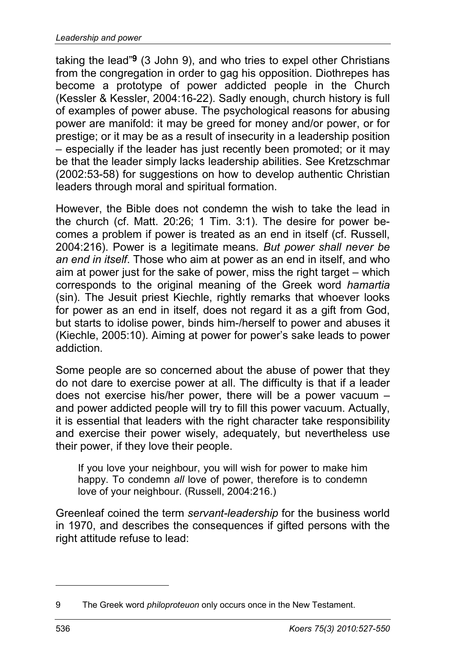taking the lead"**9** (3 John 9), and who tries to expel other Christians from the congregation in order to gag his opposition. Diothrepes has become a prototype of power addicted people in the Church (Kessler & Kessler, 2004:16-22). Sadly enough, church history is full of examples of power abuse. The psychological reasons for abusing power are manifold: it may be greed for money and/or power, or for prestige; or it may be as a result of insecurity in a leadership position – especially if the leader has just recently been promoted; or it may be that the leader simply lacks leadership abilities. See Kretzschmar (2002:53-58) for suggestions on how to develop authentic Christian leaders through moral and spiritual formation.

However, the Bible does not condemn the wish to take the lead in the church (cf. Matt. 20:26; 1 Tim. 3:1). The desire for power becomes a problem if power is treated as an end in itself (cf. Russell, 2004:216). Power is a legitimate means*. But power shall never be an end in itself*. Those who aim at power as an end in itself, and who aim at power just for the sake of power, miss the right target – which corresponds to the original meaning of the Greek word *hamartia*  (sin). The Jesuit priest Kiechle, rightly remarks that whoever looks for power as an end in itself, does not regard it as a gift from God, but starts to idolise power, binds him-/herself to power and abuses it (Kiechle, 2005:10). Aiming at power for power's sake leads to power addiction.

Some people are so concerned about the abuse of power that they do not dare to exercise power at all. The difficulty is that if a leader does not exercise his/her power, there will be a power vacuum – and power addicted people will try to fill this power vacuum. Actually, it is essential that leaders with the right character take responsibility and exercise their power wisely, adequately, but nevertheless use their power, if they love their people.

If you love your neighbour, you will wish for power to make him happy. To condemn *all* love of power, therefore is to condemn love of your neighbour. (Russell, 2004:216.)

Greenleaf coined the term *servant-leadership* for the business world in 1970, and describes the consequences if gifted persons with the right attitude refuse to lead:

-

<sup>9</sup> The Greek word *philoproteuon* only occurs once in the New Testament.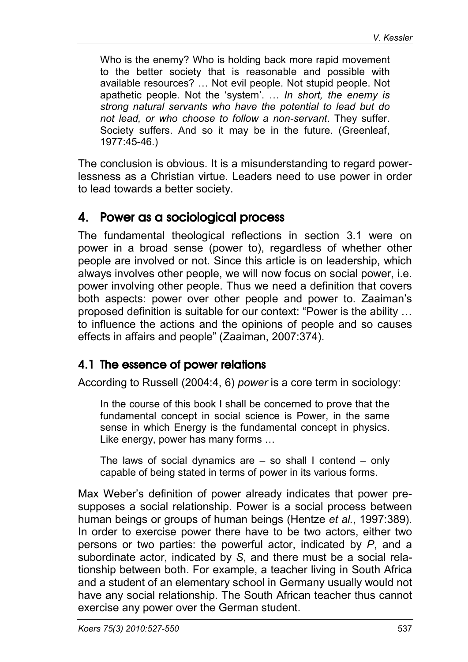Who is the enemy? Who is holding back more rapid movement to the better society that is reasonable and possible with available resources? … Not evil people. Not stupid people. Not apathetic people. Not the 'system'. … *In short, the enemy is strong natural servants who have the potential to lead but do not lead, or who choose to follow a non-servant*. They suffer. Society suffers. And so it may be in the future. (Greenleaf, 1977:45-46.)

The conclusion is obvious. It is a misunderstanding to regard powerlessness as a Christian virtue. Leaders need to use power in order to lead towards a better society.

### 4. Power as a sociological process

The fundamental theological reflections in section 3.1 were on power in a broad sense (power to), regardless of whether other people are involved or not. Since this article is on leadership, which always involves other people, we will now focus on social power, i.e. power involving other people. Thus we need a definition that covers both aspects: power over other people and power to. Zaaiman's proposed definition is suitable for our context: "Power is the ability … to influence the actions and the opinions of people and so causes effects in affairs and people" (Zaaiman, 2007:374).

### 4.1 The essence of power relations

According to Russell (2004:4, 6) *power* is a core term in sociology:

In the course of this book I shall be concerned to prove that the fundamental concept in social science is Power, in the same sense in which Energy is the fundamental concept in physics. Like energy, power has many forms …

The laws of social dynamics are – so shall I contend – only capable of being stated in terms of power in its various forms.

Max Weber's definition of power already indicates that power presupposes a social relationship. Power is a social process between human beings or groups of human beings (Hentze *et al.*, 1997:389). In order to exercise power there have to be two actors, either two persons or two parties: the powerful actor, indicated by *P*, and a subordinate actor, indicated by *S*, and there must be a social relationship between both. For example, a teacher living in South Africa and a student of an elementary school in Germany usually would not have any social relationship. The South African teacher thus cannot exercise any power over the German student.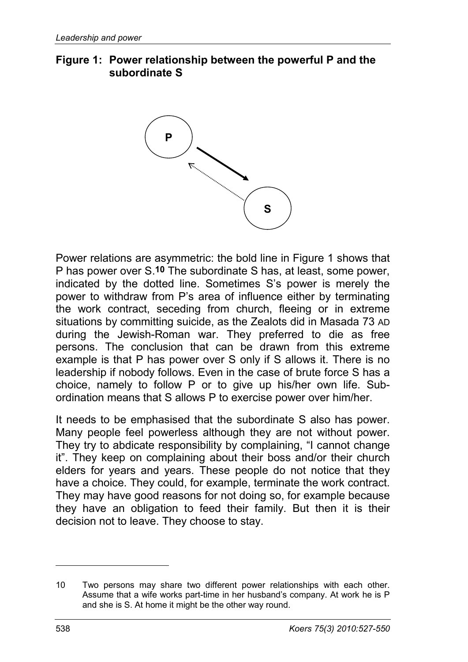#### **Figure 1: Power relationship between the powerful P and the subordinate S**



Power relations are asymmetric: the bold line in Figure 1 shows that P has power over S.**10** The subordinate S has, at least, some power, indicated by the dotted line. Sometimes S's power is merely the power to withdraw from P's area of influence either by terminating the work contract, seceding from church, fleeing or in extreme situations by committing suicide, as the Zealots did in Masada 73 AD during the Jewish-Roman war. They preferred to die as free persons. The conclusion that can be drawn from this extreme example is that P has power over S only if S allows it. There is no leadership if nobody follows. Even in the case of brute force S has a choice, namely to follow P or to give up his/her own life. Subordination means that S allows P to exercise power over him/her.

It needs to be emphasised that the subordinate S also has power. Many people feel powerless although they are not without power. They try to abdicate responsibility by complaining, "I cannot change it". They keep on complaining about their boss and/or their church elders for years and years. These people do not notice that they have a choice. They could, for example, terminate the work contract. They may have good reasons for not doing so, for example because they have an obligation to feed their family. But then it is their decision not to leave. They choose to stay.

<sup>10</sup> Two persons may share two different power relationships with each other. Assume that a wife works part-time in her husband's company. At work he is P and she is S. At home it might be the other way round.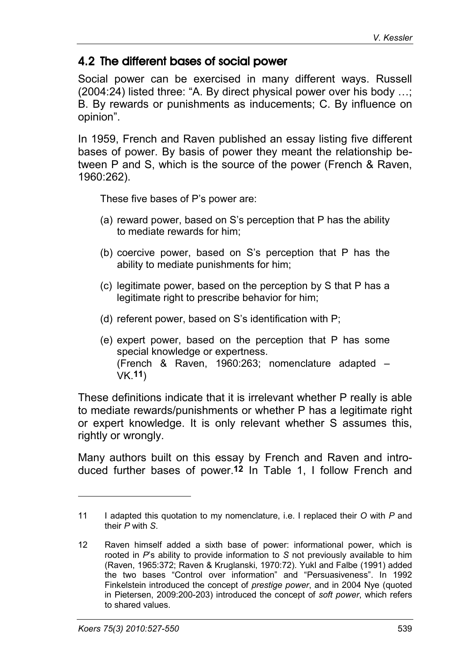### 4.2 The different bases of social power

Social power can be exercised in many different ways. Russell (2004:24) listed three: "A. By direct physical power over his body …; B. By rewards or punishments as inducements; C. By influence on opinion".

In 1959, French and Raven published an essay listing five different bases of power. By basis of power they meant the relationship between P and S, which is the source of the power (French & Raven, 1960:262).

These five bases of P's power are:

- (a) reward power, based on S's perception that P has the ability to mediate rewards for him;
- (b) coercive power, based on S's perception that P has the ability to mediate punishments for him;
- (c) legitimate power, based on the perception by S that P has a legitimate right to prescribe behavior for him;
- (d) referent power, based on S's identification with P;
- (e) expert power, based on the perception that P has some special knowledge or expertness. (French & Raven, 1960:263; nomenclature adapted – VK.**11**)

These definitions indicate that it is irrelevant whether P really is able to mediate rewards/punishments or whether P has a legitimate right or expert knowledge. It is only relevant whether S assumes this, rightly or wrongly.

Many authors built on this essay by French and Raven and introduced further bases of power.**12** In Table 1, I follow French and

<sup>11</sup> I adapted this quotation to my nomenclature, i.e. I replaced their *O* with *P* and their *P* with *S*.

<sup>12</sup> Raven himself added a sixth base of power: informational power, which is rooted in *P*'s ability to provide information to *S* not previously available to him (Raven, 1965:372; Raven & Kruglanski, 1970:72). Yukl and Falbe (1991) added the two bases "Control over information" and "Persuasiveness". In 1992 Finkelstein introduced the concept of *prestige power*, and in 2004 Nye (quoted in Pietersen, 2009:200-203) introduced the concept of *soft power*, which refers to shared values.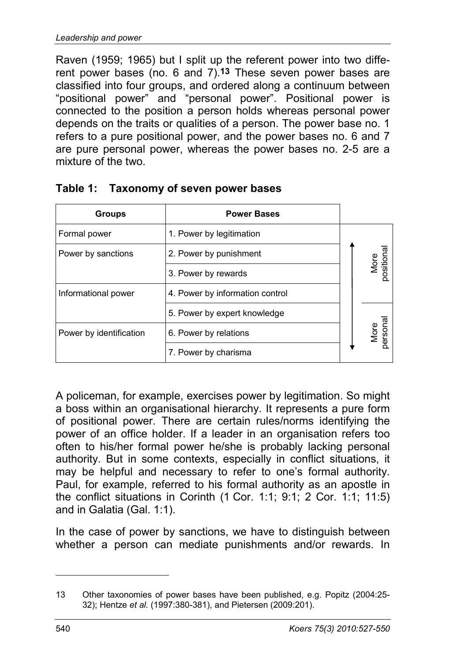Raven (1959; 1965) but I split up the referent power into two different power bases (no. 6 and 7).**13** These seven power bases are classified into four groups, and ordered along a continuum between "positional power" and "personal power". Positional power is connected to the position a person holds whereas personal power depends on the traits or qualities of a person. The power base no. 1 refers to a pure positional power, and the power bases no. 6 and 7 are pure personal power, whereas the power bases no. 2-5 are a mixture of the two.

| <b>Groups</b>           | <b>Power Bases</b>              |                 |                  |
|-------------------------|---------------------------------|-----------------|------------------|
| Formal power            | 1. Power by legitimation        |                 |                  |
| Power by sanctions      | 2. Power by punishment          |                 |                  |
|                         | 3. Power by rewards             |                 | More<br>position |
| Informational power     | 4. Power by information control |                 |                  |
|                         | 5. Power by expert knowledge    |                 |                  |
| Power by identification | 6. Power by relations           | More<br>persona |                  |
|                         | 7. Power by charisma            |                 |                  |

#### **Table 1: Taxonomy of seven power bases**

A policeman, for example, exercises power by legitimation. So might a boss within an organisational hierarchy. It represents a pure form of positional power. There are certain rules/norms identifying the power of an office holder. If a leader in an organisation refers too often to his/her formal power he/she is probably lacking personal authority. But in some contexts, especially in conflict situations, it may be helpful and necessary to refer to one's formal authority. Paul, for example, referred to his formal authority as an apostle in the conflict situations in Corinth (1 Cor. 1:1; 9:1; 2 Cor. 1:1; 11:5) and in Galatia (Gal. 1:1).

In the case of power by sanctions, we have to distinguish between whether a person can mediate punishments and/or rewards. In

-

<sup>13</sup> Other taxonomies of power bases have been published, e.g. Popitz (2004:25- 32); Hentze *et al.* (1997:380-381), and Pietersen (2009:201).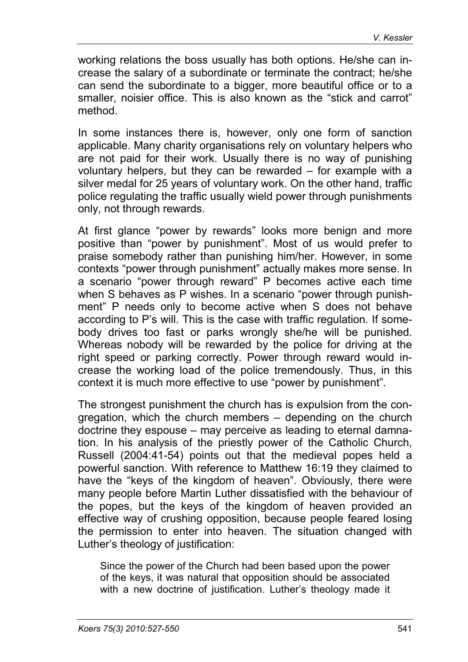working relations the boss usually has both options. He/she can increase the salary of a subordinate or terminate the contract; he/she can send the subordinate to a bigger, more beautiful office or to a smaller, noisier office. This is also known as the "stick and carrot" method.

In some instances there is, however, only one form of sanction applicable. Many charity organisations rely on voluntary helpers who are not paid for their work. Usually there is no way of punishing voluntary helpers, but they can be rewarded – for example with a silver medal for 25 years of voluntary work. On the other hand, traffic police regulating the traffic usually wield power through punishments only, not through rewards.

At first glance "power by rewards" looks more benign and more positive than "power by punishment". Most of us would prefer to praise somebody rather than punishing him/her. However, in some contexts "power through punishment" actually makes more sense. In a scenario "power through reward" P becomes active each time when S behaves as P wishes. In a scenario "power through punishment" P needs only to become active when S does not behave according to P's will. This is the case with traffic regulation. If somebody drives too fast or parks wrongly she/he will be punished. Whereas nobody will be rewarded by the police for driving at the right speed or parking correctly. Power through reward would increase the working load of the police tremendously. Thus, in this context it is much more effective to use "power by punishment".

The strongest punishment the church has is expulsion from the congregation, which the church members – depending on the church doctrine they espouse – may perceive as leading to eternal damnation. In his analysis of the priestly power of the Catholic Church, Russell (2004:41-54) points out that the medieval popes held a powerful sanction. With reference to Matthew 16:19 they claimed to have the "keys of the kingdom of heaven". Obviously, there were many people before Martin Luther dissatisfied with the behaviour of the popes, but the keys of the kingdom of heaven provided an effective way of crushing opposition, because people feared losing the permission to enter into heaven. The situation changed with Luther's theology of justification:

Since the power of the Church had been based upon the power of the keys, it was natural that opposition should be associated with a new doctrine of justification. Luther's theology made it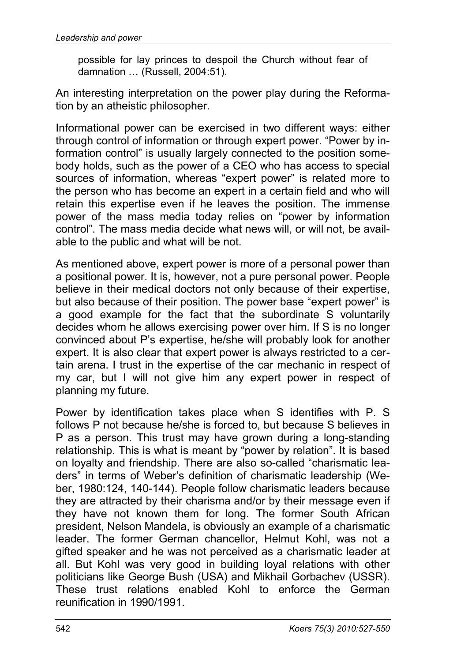possible for lay princes to despoil the Church without fear of damnation … (Russell, 2004:51).

An interesting interpretation on the power play during the Reformation by an atheistic philosopher.

Informational power can be exercised in two different ways: either through control of information or through expert power. "Power by information control" is usually largely connected to the position somebody holds, such as the power of a CEO who has access to special sources of information, whereas "expert power" is related more to the person who has become an expert in a certain field and who will retain this expertise even if he leaves the position. The immense power of the mass media today relies on "power by information control". The mass media decide what news will, or will not, be available to the public and what will be not.

As mentioned above, expert power is more of a personal power than a positional power. It is, however, not a pure personal power. People believe in their medical doctors not only because of their expertise, but also because of their position. The power base "expert power" is a good example for the fact that the subordinate S voluntarily decides whom he allows exercising power over him. If S is no longer convinced about P's expertise, he/she will probably look for another expert. It is also clear that expert power is always restricted to a certain arena. I trust in the expertise of the car mechanic in respect of my car, but I will not give him any expert power in respect of planning my future.

Power by identification takes place when S identifies with P. S follows P not because he/she is forced to, but because S believes in P as a person. This trust may have grown during a long-standing relationship. This is what is meant by "power by relation". It is based on loyalty and friendship. There are also so-called "charismatic leaders" in terms of Weber's definition of charismatic leadership (Weber, 1980:124, 140-144). People follow charismatic leaders because they are attracted by their charisma and/or by their message even if they have not known them for long. The former South African president, Nelson Mandela, is obviously an example of a charismatic leader. The former German chancellor, Helmut Kohl, was not a gifted speaker and he was not perceived as a charismatic leader at all. But Kohl was very good in building loyal relations with other politicians like George Bush (USA) and Mikhail Gorbachev (USSR). These trust relations enabled Kohl to enforce the German reunification in 1990/1991.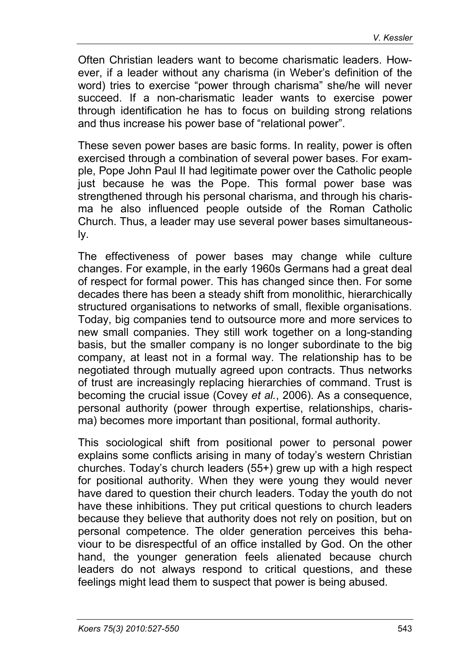Often Christian leaders want to become charismatic leaders. However, if a leader without any charisma (in Weber's definition of the word) tries to exercise "power through charisma" she/he will never succeed. If a non-charismatic leader wants to exercise power through identification he has to focus on building strong relations and thus increase his power base of "relational power".

These seven power bases are basic forms. In reality, power is often exercised through a combination of several power bases. For example, Pope John Paul II had legitimate power over the Catholic people just because he was the Pope. This formal power base was strengthened through his personal charisma, and through his charisma he also influenced people outside of the Roman Catholic Church. Thus, a leader may use several power bases simultaneously.

The effectiveness of power bases may change while culture changes. For example, in the early 1960s Germans had a great deal of respect for formal power. This has changed since then. For some decades there has been a steady shift from monolithic, hierarchically structured organisations to networks of small, flexible organisations. Today, big companies tend to outsource more and more services to new small companies. They still work together on a long-standing basis, but the smaller company is no longer subordinate to the big company, at least not in a formal way. The relationship has to be negotiated through mutually agreed upon contracts. Thus networks of trust are increasingly replacing hierarchies of command. Trust is becoming the crucial issue (Covey *et al.*, 2006). As a consequence, personal authority (power through expertise, relationships, charisma) becomes more important than positional, formal authority.

This sociological shift from positional power to personal power explains some conflicts arising in many of today's western Christian churches. Today's church leaders (55+) grew up with a high respect for positional authority. When they were young they would never have dared to question their church leaders. Today the youth do not have these inhibitions. They put critical questions to church leaders because they believe that authority does not rely on position, but on personal competence. The older generation perceives this behaviour to be disrespectful of an office installed by God. On the other hand, the younger generation feels alienated because church leaders do not always respond to critical questions, and these feelings might lead them to suspect that power is being abused.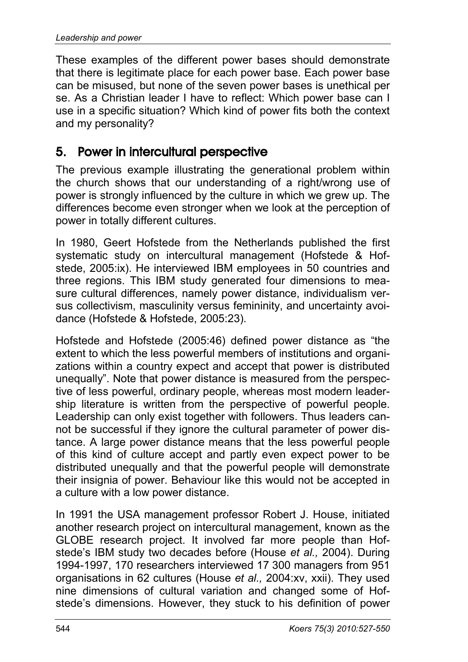These examples of the different power bases should demonstrate that there is legitimate place for each power base. Each power base can be misused, but none of the seven power bases is unethical per se. As a Christian leader I have to reflect: Which power base can I use in a specific situation? Which kind of power fits both the context and my personality?

# 5. Power in intercultural perspective

The previous example illustrating the generational problem within the church shows that our understanding of a right/wrong use of power is strongly influenced by the culture in which we grew up. The differences become even stronger when we look at the perception of power in totally different cultures.

In 1980, Geert Hofstede from the Netherlands published the first systematic study on intercultural management (Hofstede & Hofstede, 2005:ix). He interviewed IBM employees in 50 countries and three regions. This IBM study generated four dimensions to measure cultural differences, namely power distance, individualism versus collectivism, masculinity versus femininity, and uncertainty avoidance (Hofstede & Hofstede, 2005:23).

Hofstede and Hofstede (2005:46) defined power distance as "the extent to which the less powerful members of institutions and organizations within a country expect and accept that power is distributed unequally". Note that power distance is measured from the perspective of less powerful, ordinary people, whereas most modern leadership literature is written from the perspective of powerful people. Leadership can only exist together with followers. Thus leaders cannot be successful if they ignore the cultural parameter of power distance. A large power distance means that the less powerful people of this kind of culture accept and partly even expect power to be distributed unequally and that the powerful people will demonstrate their insignia of power. Behaviour like this would not be accepted in a culture with a low power distance.

In 1991 the USA management professor Robert J. House, initiated another research project on intercultural management, known as the GLOBE research project. It involved far more people than Hofstede's IBM study two decades before (House *et al.,* 2004). During 1994-1997, 170 researchers interviewed 17 300 managers from 951 organisations in 62 cultures (House *et al.,* 2004:xv, xxii). They used nine dimensions of cultural variation and changed some of Hofstede's dimensions. However, they stuck to his definition of power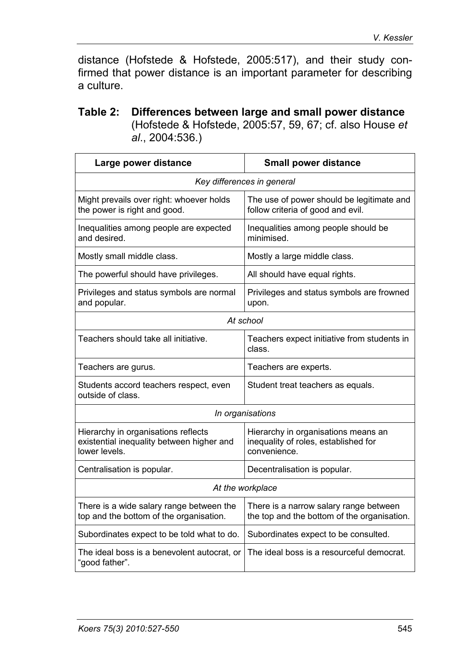distance (Hofstede & Hofstede, 2005:517), and their study confirmed that power distance is an important parameter for describing a culture.

#### **Table 2: Differences between large and small power distance** (Hofstede & Hofstede, 2005:57, 59, 67; cf. also House *et al*., 2004:536.)

| Large power distance                                                                              | <b>Small power distance</b>                                                                 |  |  |  |  |
|---------------------------------------------------------------------------------------------------|---------------------------------------------------------------------------------------------|--|--|--|--|
| Key differences in general                                                                        |                                                                                             |  |  |  |  |
| Might prevails over right: whoever holds<br>the power is right and good.                          | The use of power should be legitimate and<br>follow criteria of good and evil.              |  |  |  |  |
| Inequalities among people are expected<br>and desired.                                            | Inequalities among people should be<br>minimised.                                           |  |  |  |  |
| Mostly small middle class.                                                                        | Mostly a large middle class.                                                                |  |  |  |  |
| The powerful should have privileges.                                                              | All should have equal rights.                                                               |  |  |  |  |
| Privileges and status symbols are normal<br>and popular.                                          | Privileges and status symbols are frowned<br>upon.                                          |  |  |  |  |
| At school                                                                                         |                                                                                             |  |  |  |  |
| Teachers should take all initiative.                                                              | Teachers expect initiative from students in<br>class.                                       |  |  |  |  |
| Teachers are gurus.                                                                               | Teachers are experts.                                                                       |  |  |  |  |
| Students accord teachers respect, even<br>outside of class.                                       | Student treat teachers as equals.                                                           |  |  |  |  |
| In organisations                                                                                  |                                                                                             |  |  |  |  |
| Hierarchy in organisations reflects<br>existential inequality between higher and<br>lower levels. | Hierarchy in organisations means an<br>inequality of roles, established for<br>convenience. |  |  |  |  |
| Centralisation is popular.                                                                        | Decentralisation is popular.                                                                |  |  |  |  |
| At the workplace                                                                                  |                                                                                             |  |  |  |  |
| There is a wide salary range between the<br>top and the bottom of the organisation.               | There is a narrow salary range between<br>the top and the bottom of the organisation.       |  |  |  |  |
| Subordinates expect to be told what to do.                                                        | Subordinates expect to be consulted.                                                        |  |  |  |  |
| The ideal boss is a benevolent autocrat, or<br>"good father".                                     | The ideal boss is a resourceful democrat.                                                   |  |  |  |  |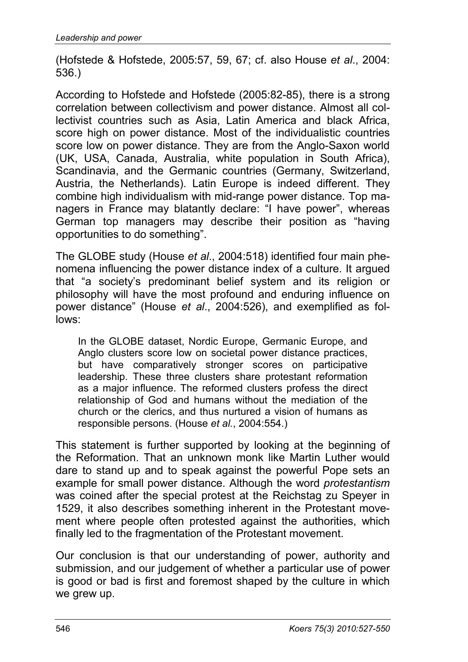(Hofstede & Hofstede, 2005:57, 59, 67; cf. also House *et al*., 2004: 536.)

According to Hofstede and Hofstede (2005:82-85), there is a strong correlation between collectivism and power distance. Almost all collectivist countries such as Asia, Latin America and black Africa, score high on power distance. Most of the individualistic countries score low on power distance. They are from the Anglo-Saxon world (UK, USA, Canada, Australia, white population in South Africa), Scandinavia, and the Germanic countries (Germany, Switzerland, Austria, the Netherlands). Latin Europe is indeed different. They combine high individualism with mid-range power distance. Top managers in France may blatantly declare: "I have power", whereas German top managers may describe their position as "having opportunities to do something".

The GLOBE study (House *et al*., 2004:518) identified four main phenomena influencing the power distance index of a culture. It argued that "a society's predominant belief system and its religion or philosophy will have the most profound and enduring influence on power distance" (House *et al*., 2004:526), and exemplified as follows:

In the GLOBE dataset, Nordic Europe, Germanic Europe, and Anglo clusters score low on societal power distance practices, but have comparatively stronger scores on participative leadership. These three clusters share protestant reformation as a major influence. The reformed clusters profess the direct relationship of God and humans without the mediation of the church or the clerics, and thus nurtured a vision of humans as responsible persons. (House *et al.*, 2004:554.)

This statement is further supported by looking at the beginning of the Reformation. That an unknown monk like Martin Luther would dare to stand up and to speak against the powerful Pope sets an example for small power distance. Although the word *protestantism* was coined after the special protest at the Reichstag zu Speyer in 1529, it also describes something inherent in the Protestant movement where people often protested against the authorities, which finally led to the fragmentation of the Protestant movement.

Our conclusion is that our understanding of power, authority and submission, and our judgement of whether a particular use of power is good or bad is first and foremost shaped by the culture in which we grew up.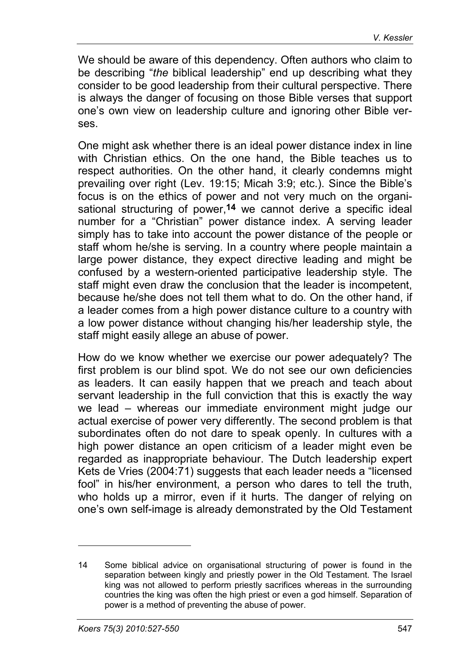We should be aware of this dependency. Often authors who claim to be describing "*the* biblical leadership" end up describing what they consider to be good leadership from their cultural perspective. There is always the danger of focusing on those Bible verses that support one's own view on leadership culture and ignoring other Bible verses.

One might ask whether there is an ideal power distance index in line with Christian ethics. On the one hand, the Bible teaches us to respect authorities. On the other hand, it clearly condemns might prevailing over right (Lev. 19:15; Micah 3:9; etc.). Since the Bible's focus is on the ethics of power and not very much on the organisational structuring of power,**14** we cannot derive a specific ideal number for a "Christian" power distance index. A serving leader simply has to take into account the power distance of the people or staff whom he/she is serving. In a country where people maintain a large power distance, they expect directive leading and might be confused by a western-oriented participative leadership style. The staff might even draw the conclusion that the leader is incompetent, because he/she does not tell them what to do. On the other hand, if a leader comes from a high power distance culture to a country with a low power distance without changing his/her leadership style, the staff might easily allege an abuse of power.

How do we know whether we exercise our power adequately? The first problem is our blind spot. We do not see our own deficiencies as leaders. It can easily happen that we preach and teach about servant leadership in the full conviction that this is exactly the way we lead – whereas our immediate environment might judge our actual exercise of power very differently. The second problem is that subordinates often do not dare to speak openly. In cultures with a high power distance an open criticism of a leader might even be regarded as inappropriate behaviour. The Dutch leadership expert Kets de Vries (2004:71) suggests that each leader needs a "licensed fool" in his/her environment, a person who dares to tell the truth, who holds up a mirror, even if it hurts. The danger of relying on one's own self-image is already demonstrated by the Old Testament

<sup>14</sup> Some biblical advice on organisational structuring of power is found in the separation between kingly and priestly power in the Old Testament. The Israel king was not allowed to perform priestly sacrifices whereas in the surrounding countries the king was often the high priest or even a god himself. Separation of power is a method of preventing the abuse of power.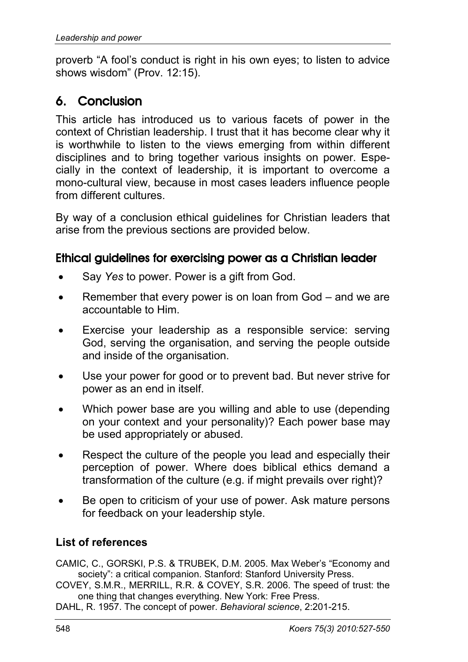proverb "A fool's conduct is right in his own eyes; to listen to advice shows wisdom" (Prov. 12:15).

# 6. Conclusion

This article has introduced us to various facets of power in the context of Christian leadership. I trust that it has become clear why it is worthwhile to listen to the views emerging from within different disciplines and to bring together various insights on power. Especially in the context of leadership, it is important to overcome a mono-cultural view, because in most cases leaders influence people from different cultures.

By way of a conclusion ethical guidelines for Christian leaders that arise from the previous sections are provided below.

### Ethical guidelines for exercising power as a Christian leader

- Say *Yes* to power. Power is a gift from God.
- Remember that every power is on loan from God and we are accountable to Him.
- Exercise your leadership as a responsible service: serving God, serving the organisation, and serving the people outside and inside of the organisation.
- Use your power for good or to prevent bad. But never strive for power as an end in itself.
- Which power base are you willing and able to use (depending on your context and your personality)? Each power base may be used appropriately or abused.
- Respect the culture of the people you lead and especially their perception of power. Where does biblical ethics demand a transformation of the culture (e.g. if might prevails over right)?
- Be open to criticism of your use of power. Ask mature persons for feedback on your leadership style.

### **List of references**

CAMIC, C., GORSKI, P.S. & TRUBEK, D.M. 2005. Max Weber's "Economy and society": a critical companion. Stanford: Stanford University Press.

COVEY, S.M.R., MERRILL, R.R. & COVEY, S.R. 2006. The speed of trust: the one thing that changes everything. New York: Free Press.

DAHL, R. 1957. The concept of power. *Behavioral science*, 2:201-215.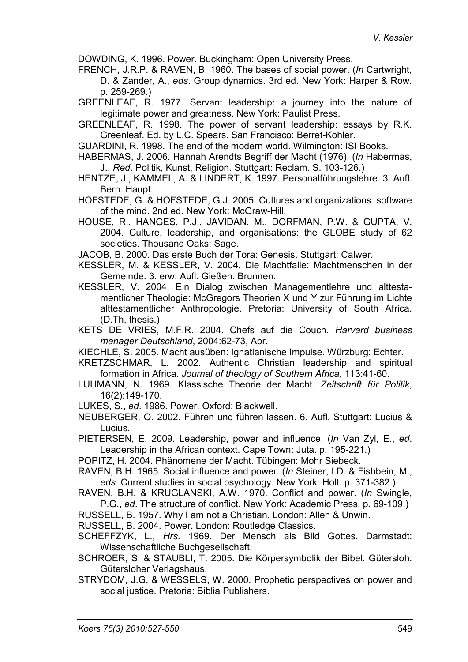DOWDING, K. 1996. Power. Buckingham: Open University Press.

FRENCH, J.R.P. & RAVEN, B. 1960. The bases of social power. (*In* Cartwright, D. & Zander, A., *eds*. Group dynamics. 3rd ed. New York: Harper & Row. p. 259-269.)

GREENLEAF, R. 1977. Servant leadership: a journey into the nature of legitimate power and greatness. New York: Paulist Press.

GREENLEAF, R. 1998. The power of servant leadership: essays by R.K. Greenleaf. Ed. by L.C. Spears. San Francisco: Berret-Kohler.

GUARDINI, R. 1998. The end of the modern world. Wilmington: ISI Books.

HABERMAS, J. 2006. Hannah Arendts Begriff der Macht (1976). (*In* Habermas, J., *Red*. Politik, Kunst, Religion. Stuttgart: Reclam. S. 103-126.)

HENTZE, J., KAMMEL, A. & LINDERT, K. 1997. Personalführungslehre. 3. Aufl. Bern: Haupt.

HOFSTEDE, G. & HOFSTEDE, G.J. 2005. Cultures and organizations: software of the mind. 2nd ed. New York: McGraw-Hill.

HOUSE, R., HANGES, P.J., JAVIDAN, M., DORFMAN, P.W. & GUPTA, V. 2004. Culture, leadership, and organisations: the GLOBE study of 62 societies. Thousand Oaks: Sage.

JACOB, B. 2000. Das erste Buch der Tora: Genesis. Stuttgart: Calwer.

KESSLER, M. & KESSLER, V. 2004. Die Machtfalle: Machtmenschen in der Gemeinde. 3. erw. Aufl. Gießen: Brunnen.

KESSLER, V. 2004. Ein Dialog zwischen Managementlehre und alttestamentlicher Theologie: McGregors Theorien X und Y zur Führung im Lichte alttestamentlicher Anthropologie. Pretoria: University of South Africa. (D.Th. thesis.)

KETS DE VRIES, M.F.R. 2004. Chefs auf die Couch. *Harvard business manager Deutschland*, 2004:62-73, Apr.

KIECHLE, S. 2005. Macht ausüben: Ignatianische Impulse. Würzburg: Echter.

KRETZSCHMAR, L. 2002. Authentic Christian leadership and spiritual formation in Africa. *Journal of theology of Southern Africa*, 113:41-60.

LUHMANN, N. 1969. Klassische Theorie der Macht. *Zeitschrift für Politik*, 16(2):149-170.

LUKES, S., *ed*. 1986. Power. Oxford: Blackwell.

NEUBERGER, O. 2002. Führen und führen lassen. 6. Aufl. Stuttgart: Lucius & Lucius.

PIETERSEN, E. 2009. Leadership, power and influence. (*In* Van Zyl, E., *ed*. Leadership in the African context. Cape Town: Juta. p. 195-221.)

POPITZ, H. 2004. Phänomene der Macht. Tübingen: Mohr Siebeck.

RAVEN, B.H. 1965. Social influence and power. (*In* Steiner, I.D. & Fishbein, M., *eds*. Current studies in social psychology. New York: Holt. p. 371-382.)

RAVEN, B.H. & KRUGLANSKI, A.W. 1970. Conflict and power. (*In* Swingle, P.G., *ed*. The structure of conflict. New York: Academic Press. p. 69-109.)

RUSSELL, B. 1957. Why I am not a Christian. London: Allen & Unwin.

RUSSELL, B. 2004. Power. London: Routledge Classics.

SCHEFFZYK, L., *Hrs*. 1969. Der Mensch als Bild Gottes. Darmstadt: Wissenschaftliche Buchgesellschaft.

SCHROER, S. & STAUBLI, T. 2005. Die Körpersymbolik der Bibel. Gütersloh: Gütersloher Verlagshaus.

STRYDOM, J.G. & WESSELS, W. 2000. Prophetic perspectives on power and social justice. Pretoria: Biblia Publishers.